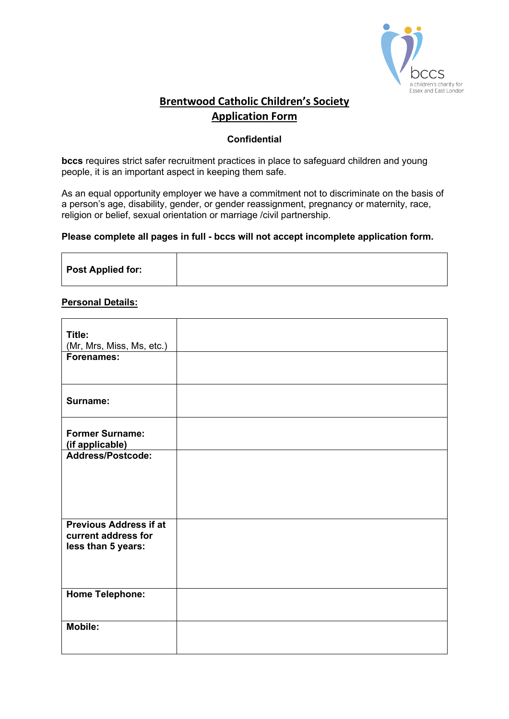

## **Brentwood Catholic Children's Society Application Form**

### **Confidential**

**bccs** requires strict safer recruitment practices in place to safeguard children and young people, it is an important aspect in keeping them safe.

As an equal opportunity employer we have a commitment not to discriminate on the basis of a person's age, disability, gender, or gender reassignment, pregnancy or maternity, race, religion or belief, sexual orientation or marriage /civil partnership.

#### **Please complete all pages in full - bccs will not accept incomplete application form.**

|  |  | <b>Post Applied for:</b> |
|--|--|--------------------------|
|--|--|--------------------------|

#### **Personal Details:**

| Title:<br>(Mr, Mrs, Miss, Ms, etc.) |  |
|-------------------------------------|--|
| <b>Forenames:</b>                   |  |
|                                     |  |
|                                     |  |
|                                     |  |
| Surname:                            |  |
|                                     |  |
| <b>Former Surname:</b>              |  |
| (if applicable)                     |  |
| Address/Postcode:                   |  |
|                                     |  |
|                                     |  |
|                                     |  |
|                                     |  |
| <b>Previous Address if at</b>       |  |
| current address for                 |  |
| less than 5 years:                  |  |
|                                     |  |
|                                     |  |
|                                     |  |
| <b>Home Telephone:</b>              |  |
|                                     |  |
|                                     |  |
| $\overline{\mathsf{M}}$ obile:      |  |
|                                     |  |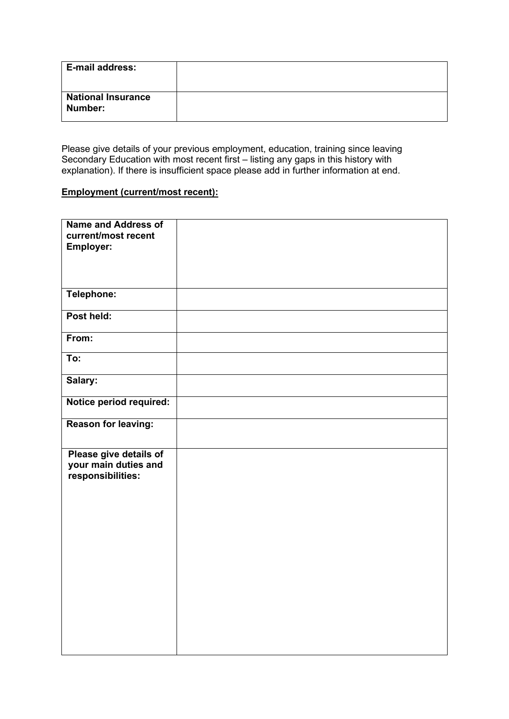| E-mail address:                      |  |
|--------------------------------------|--|
| <b>National Insurance</b><br>Number: |  |

Please give details of your previous employment, education, training since leaving Secondary Education with most recent first – listing any gaps in this history with explanation). If there is insufficient space please add in further information at end.

### **Employment (current/most recent):**

| <b>Name and Address of</b> |  |
|----------------------------|--|
| current/most recent        |  |
|                            |  |
| Employer:                  |  |
|                            |  |
|                            |  |
|                            |  |
|                            |  |
| Telephone:                 |  |
|                            |  |
| Post held:                 |  |
|                            |  |
| From:                      |  |
|                            |  |
| To:                        |  |
|                            |  |
|                            |  |
| Salary:                    |  |
|                            |  |
| Notice period required:    |  |
|                            |  |
| Reason for leaving:        |  |
|                            |  |
|                            |  |
| Please give details of     |  |
| your main duties and       |  |
|                            |  |
| responsibilities:          |  |
|                            |  |
|                            |  |
|                            |  |
|                            |  |
|                            |  |
|                            |  |
|                            |  |
|                            |  |
|                            |  |
|                            |  |
|                            |  |
|                            |  |
|                            |  |
|                            |  |
|                            |  |
|                            |  |
|                            |  |
|                            |  |
|                            |  |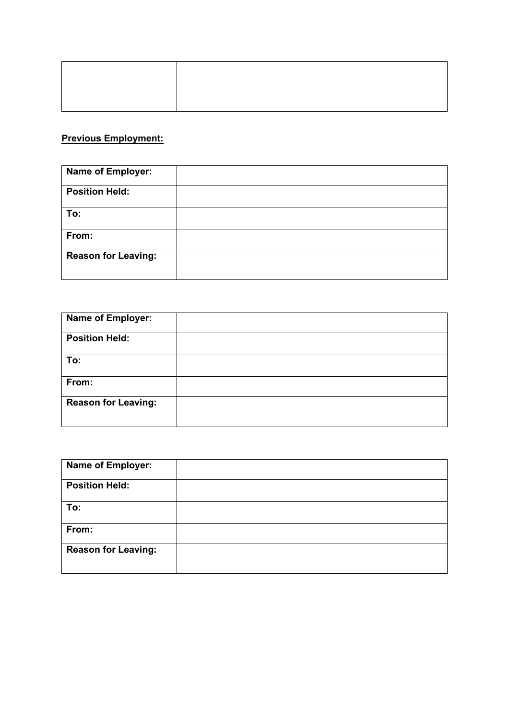# **Previous Employment:**

| <b>Name of Employer:</b>   |  |
|----------------------------|--|
| <b>Position Held:</b>      |  |
| To:                        |  |
| From:                      |  |
| <b>Reason for Leaving:</b> |  |

| <b>Name of Employer:</b>   |  |
|----------------------------|--|
| <b>Position Held:</b>      |  |
| To:                        |  |
| From:                      |  |
| <b>Reason for Leaving:</b> |  |

| Name of Employer:          |  |
|----------------------------|--|
| <b>Position Held:</b>      |  |
| To:                        |  |
| From:                      |  |
| <b>Reason for Leaving:</b> |  |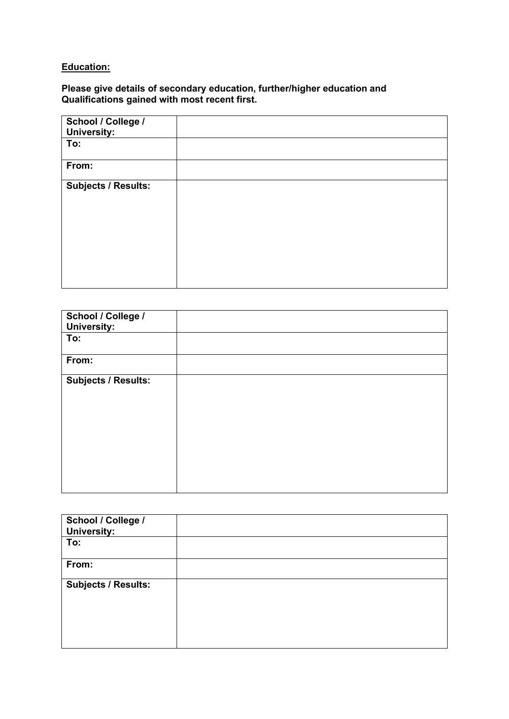### **Education:**

### **Please give details of secondary education, further/higher education and Qualifications gained with most recent first.**

| School / College /<br><b>University:</b> |  |
|------------------------------------------|--|
| To:                                      |  |
| From:                                    |  |
| <b>Subjects / Results:</b>               |  |

| School / College /<br><b>University:</b> |  |
|------------------------------------------|--|
| To:                                      |  |
| From:                                    |  |
| <b>Subjects / Results:</b>               |  |

| School / College /<br><b>University:</b> |  |
|------------------------------------------|--|
| To:                                      |  |
| From:                                    |  |
| <b>Subjects / Results:</b>               |  |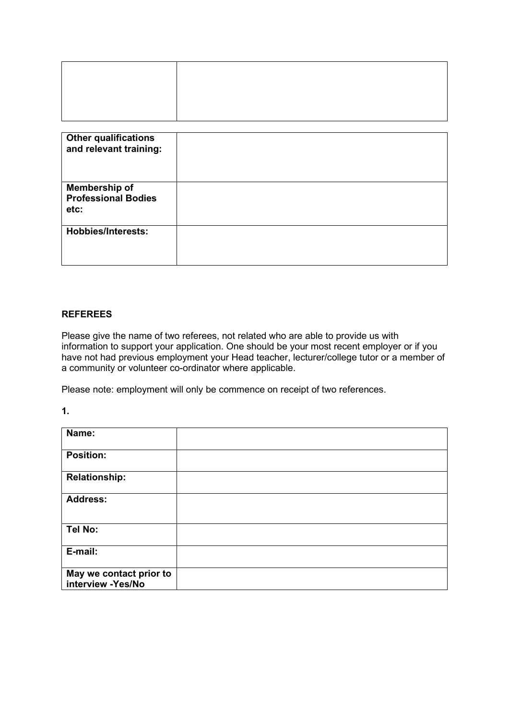| <b>Other qualifications</b><br>and relevant training:      |  |
|------------------------------------------------------------|--|
| <b>Membership of</b><br><b>Professional Bodies</b><br>etc: |  |
| <b>Hobbies/Interests:</b>                                  |  |

### **REFEREES**

Please give the name of two referees, not related who are able to provide us with information to support your application. One should be your most recent employer or if you have not had previous employment your Head teacher, lecturer/college tutor or a member of a community or volunteer co-ordinator where applicable.

Please note: employment will only be commence on receipt of two references.

**1.**

| Name:                                        |  |
|----------------------------------------------|--|
| <b>Position:</b>                             |  |
| <b>Relationship:</b>                         |  |
| <b>Address:</b>                              |  |
| Tel No:                                      |  |
| E-mail:                                      |  |
| May we contact prior to<br>interview -Yes/No |  |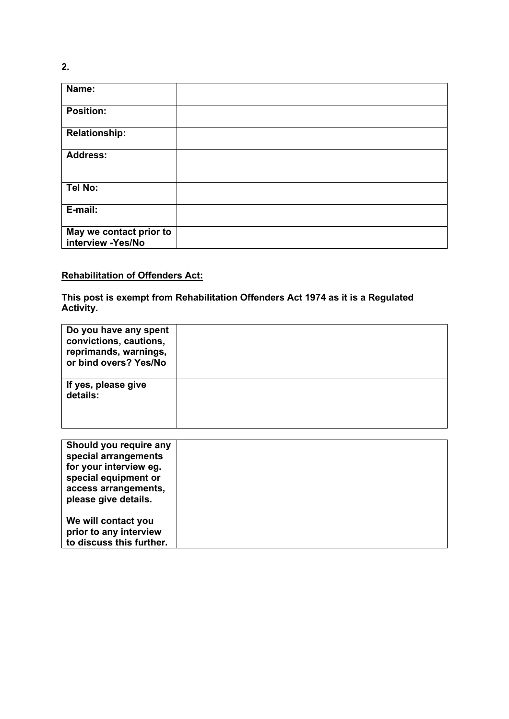| Name:                                        |  |
|----------------------------------------------|--|
| <b>Position:</b>                             |  |
| <b>Relationship:</b>                         |  |
| <b>Address:</b>                              |  |
| Tel No:                                      |  |
| E-mail:                                      |  |
| May we contact prior to<br>interview -Yes/No |  |

### **Rehabilitation of Offenders Act:**

**This post is exempt from Rehabilitation Offenders Act 1974 as it is a Regulated Activity.**

| Do you have any spent<br>convictions, cautions,<br>reprimands, warnings,<br>or bind overs? Yes/No |  |
|---------------------------------------------------------------------------------------------------|--|
| If yes, please give<br>details:                                                                   |  |

| Should you require any   |  |
|--------------------------|--|
| special arrangements     |  |
| for your interview eg.   |  |
| special equipment or     |  |
| access arrangements,     |  |
| please give details.     |  |
|                          |  |
| We will contact you      |  |
| prior to any interview   |  |
| to discuss this further. |  |

**2.**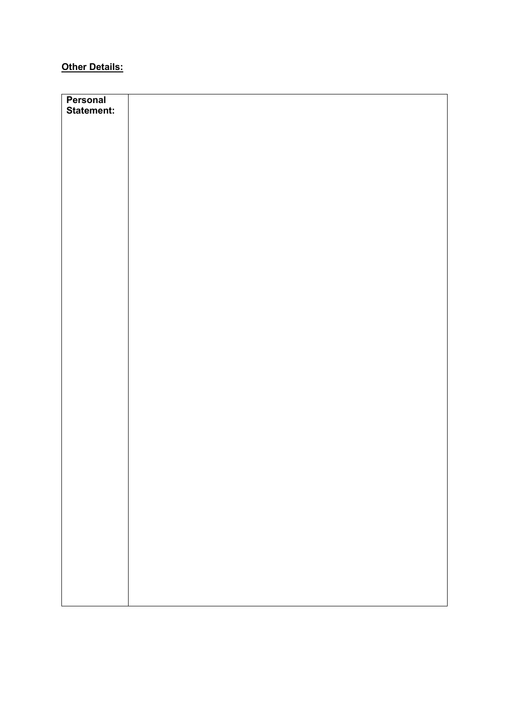# **Other Details:**

| Personal          |  |
|-------------------|--|
| <b>Statement:</b> |  |
|                   |  |
|                   |  |
|                   |  |
|                   |  |
|                   |  |
|                   |  |
|                   |  |
|                   |  |
|                   |  |
|                   |  |
|                   |  |
|                   |  |
|                   |  |
|                   |  |
|                   |  |
|                   |  |
|                   |  |
|                   |  |
|                   |  |
|                   |  |
|                   |  |
|                   |  |
|                   |  |
|                   |  |
|                   |  |
|                   |  |
|                   |  |
|                   |  |
|                   |  |
|                   |  |
|                   |  |
|                   |  |
|                   |  |
|                   |  |
|                   |  |
|                   |  |
|                   |  |
|                   |  |
|                   |  |
|                   |  |
|                   |  |
|                   |  |
|                   |  |
|                   |  |
|                   |  |
|                   |  |